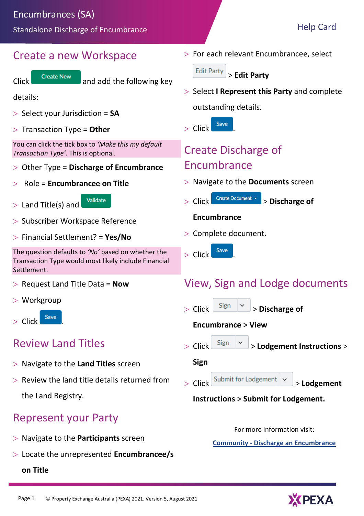#### Standalone Discharge of Encumbrance

## Create a new Workspace



Click Create New and add the following key

details:

- Select your Jurisdiction = **SA**
- Transaction Type = **Other**

You can click the tick box to *'Make this my default Transaction Type'.* This is optional.

- Other Type = **Discharge of Encumbrance**
- Role = **Encumbrancee on Title**

 $>$  Land Title(s) and

Validate

- > Subscriber Workspace Reference
- Financial Settlement? = **Yes/No**

The question defaults to *'No'* based on whether the Transaction Type would most likely include Financial Settlement.

- Request Land Title Data = **Now**
- Workgroup



# Review Land Titles

- Navigate to the **Land Titles** screen
- $>$  Review the land title details returned from the Land Registry.

## Represent your Party

- Navigate to the **Participants** screen
- Locate the unrepresented **Encumbrancee/s**

#### **on Title**

 $>$  For each relevant Encumbrancee, select

**Edit Party** > **Edit Party** 

 Select **I Represent this Party** and complete outstanding details.

 $>$  Click  $\left| \begin{array}{c}$  Save

# Create Discharge of Encumbrance

- Navigate to the **Documents** screen
- > Click Create Document **b** > Discharge of

#### **Encumbrance**

- $>$  Complete document.
- $>$  Click  $\left| \begin{array}{c}$  Save

# View, Sign and Lodge documents

 $>$  Click  $\frac{\text{Sign}}{\text{Sign}}$   $\sim$   $>$  Discharge of

#### **Encumbrance** > **View**

Click > **Lodgement Instructions** >

**Sign**

> Click Submit for Lodgement  $| \cdot |$  > **Lodgement** 

#### **Instructions** > **Submit for Lodgement.**

For more information visit:

**Community - [Discharge an Encumbrance](https://community.pexa.com.au/t5/Help-Centre/Discharge-an-Encumbrance-SA-Help-Centre/ba-p/6207)**

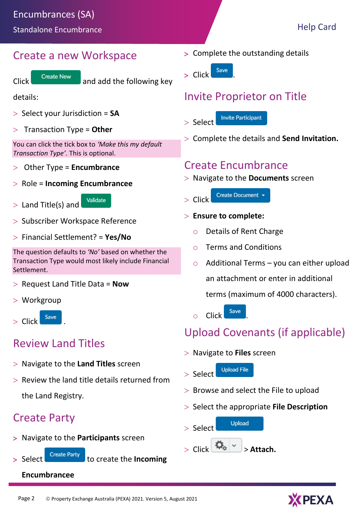## Create a new Workspace



Click Create New and add the following key

details:

- Select your Jurisdiction = **SA**
- Transaction Type = **Other**

You can click the tick box to *'Make this my default Transaction Type'.* This is optional.

- Other Type = **Encumbrance**
- Role = **Incoming Encumbrancee**
- $>$  Land Title(s) and

Validate

- > Subscriber Workspace Reference
- Financial Settlement? = **Yes/No**

The question defaults to *'No'* based on whether the Transaction Type would most likely include Financial Settlement.

- Request Land Title Data = **Now**
- Workgroup



# Review Land Titles

- Navigate to the **Land Titles** screen
- $>$  Review the land title details returned from the Land Registry.

# Create Party

Navigate to the **Participants** screen



> Select Create Party to create the **Incoming** 

**Encumbrancee**

Complete the outstanding details



# Invite Proprietor on Title

- **Invite Participant**  $>$  Select
- Complete the details and **Send Invitation.**

## Create Encumbrance

Navigate to the **Documents** screen

Create Document ~  $\geq$  Click

#### **Ensure to complete:**

- o Details of Rent Charge
- o Terms and Conditions
- $\circ$  Additional Terms you can either upload an attachment or enter in additional

terms (maximum of 4000 characters).

- $\circ$  Click  $S$ ave
- Upload Covenants (if applicable)
- Navigate to **Files** screen



- $>$  Browse and select the File to upload
- $>$  Select the appropriate **File Description**

**Upload**  $>$  Select

 $>$  Click  $\left|\mathbf{Q}_{\alpha}\right| \times$  > Attach.

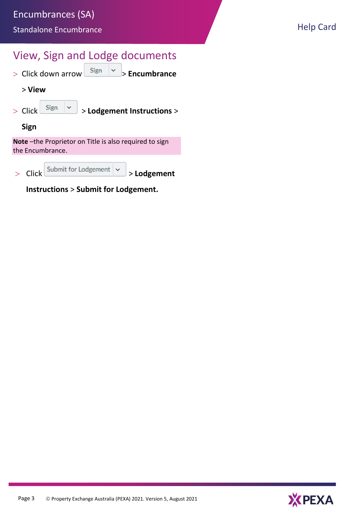Encumbrances (SA)

## View, Sign and Lodge documents

|  | > Click down arrow $\sqrt{\frac{Sign}{S}}$ > Encumbrance |  |  |
|--|----------------------------------------------------------|--|--|
|  |                                                          |  |  |

> **View**

Click > **Lodgement Instructions** >

**Sign**

**Note** –the Proprietor on Title is also required to sign the Encumbrance.

|  | $>$ Click Submit for Lodgement $\sim$ | $\triangleright$ Lodgement |
|--|---------------------------------------|----------------------------|
|  |                                       |                            |

**Instructions** > **Submit for Lodgement.**

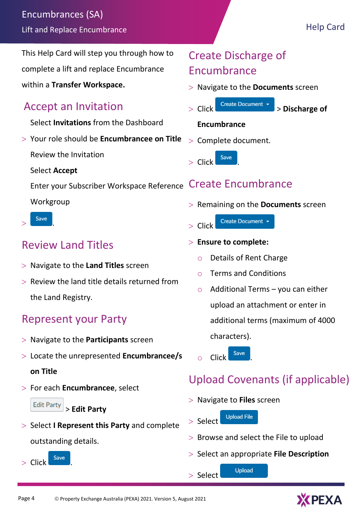This Help Card will step you through how to complete a lift and replace Encumbrance within a **Transfer Workspace.**

## Accept an Invitation

Select **Invitations** from the Dashboard

- Your role should be **Encumbrancee on Title**
	- Review the Invitation
	- Select **Accept**

Enter your Subscriber Workspace Reference Create Encumbrance

Workgroup

# Create Discharge of Encumbrance

- Navigate to the **Documents** screen
- > Click Create Document **> Discharge of**

### **Encumbrance**

> Complete document.

 $>$  Click  $\left| \begin{array}{c}$  Save

- Remaining on the **Documents** screen
	- Create Document + Click

 $>$   $\frac{5}{2}$ 

## Review Land Titles

- Navigate to the **Land Titles** screen
- $>$  Review the land title details returned from the Land Registry.

## Represent your Party

- Navigate to the **Participants** screen
- Locate the unrepresented **Encumbrancee/s**

#### **on Title**

For each **Encumbrancee**, select

**Edit Party** > **Edit Party** 

 Select **I Represent this Party** and complete outstanding details.

 $>$  Click  $\left| \begin{array}{c}$  Save

#### **Ensure to complete:**

- o Details of Rent Charge
- o Terms and Conditions
- $\circ$  Additional Terms you can either upload an attachment or enter in additional terms (maximum of 4000 characters).

Click Save

# Upload Covenants (if applicable)

- Navigate to **Files** screen
- **Upload File**  $>$  Select
- $>$  Browse and select the File to upload
- Select an appropriate **File Description**

**Upload**  $>$  Select